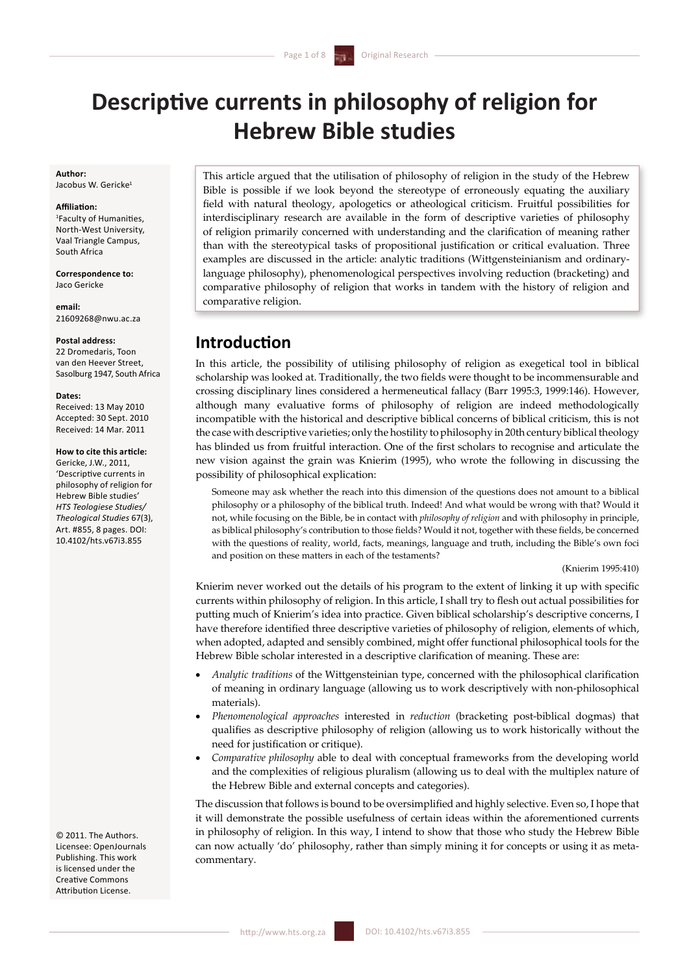# **Descriptive currents in philosophy of religion for Hebrew Bible studies**

#### **Author:**  Jacobus W. Gericke<sup>1</sup>

### **Affiliation:**

1 Faculty of Humanities, North-West University, Vaal Triangle Campus, South Africa

**Correspondence to:**  Jaco Gericke

**email:** 21609268@nwu.ac.za

#### **Postal address:**

22 Dromedaris, Toon van den Heever Street, Sasolburg 1947, South Africa

#### **Dates:**

Received: 13 May 2010 Accepted: 30 Sept. 2010 Received: 14 Mar. 2011

## **How to cite this article:**

Gericke, J.W., 2011, 'Descriptive currents in philosophy of religion for Hebrew Bible studies' *HTS Teologiese Studies/ Theological Studies* 67(3), Art. #855, 8 pages. DOI: 10.4102/hts.v67i3.855

© 2011. The Authors. Licensee: OpenJournals Publishing. This work is licensed under the Creative Commons Attribution License.

 This article argued that the utilisation of philosophy of religion in the study of the Hebrew Bible is possible if we look beyond the stereotype of erroneously equating the auxiliary field with natural theology, apologetics or atheological criticism. Fruitful possibilities for interdisciplinary research are available in the form of descriptive varieties of philosophy of religion primarily concerned with understanding and the clarification of meaning rather than with the stereotypical tasks of propositional justification or critical evaluation. Three examples are discussed in the article: analytic traditions (Wittgensteinianism and ordinarylanguage philosophy), phenomenological perspectives involving reduction (bracketing) and comparative philosophy of religion that works in tandem with the history of religion and comparative religion. 

## **Introduction**

In this article, the possibility of utilising philosophy of religion as exegetical tool in biblical scholarship was looked at. Traditionally, the two fields were thought to be incommensurable and crossing disciplinary lines considered a hermeneutical fallacy (Barr 1995:3, 1999:146). However, although many evaluative forms of philosophy of religion are indeed methodologically incompatible with the historical and descriptive biblical concerns of biblical criticism, this is not the case with descriptive varieties; only the hostility to philosophy in 20th century biblical theology has blinded us from fruitful interaction. One of the first scholars to recognise and articulate the new vision against the grain was Knierim (1995), who wrote the following in discussing the possibility of philosophical explication:

Someone may ask whether the reach into this dimension of the questions does not amount to a biblical philosophy or a philosophy of the biblical truth. Indeed! And what would be wrong with that? Would it not, while focusing on the Bible, be in contact with *philosophy of religion* and with philosophy in principle, as biblical philosophy's contribution to those fields? Would it not, together with these fields, be concerned with the questions of reality, world, facts, meanings, language and truth, including the Bible's own foci and position on these matters in each of the testaments?

## (Knierim 1995:410)

 Knierim never worked out the details of his program to the extent of linking it up with specific currents within philosophy of religion. In this article, I shall try to flesh out actual possibilities for putting much of Knierim's idea into practice. Given biblical scholarship's descriptive concerns, I have therefore identified three descriptive varieties of philosophy of religion, elements of which, when adopted, adapted and sensibly combined, might offer functional philosophical tools for the Hebrew Bible scholar interested in a descriptive clarification of meaning. These are:

- • *Analytic traditions* of the Wittgensteinian type, concerned with the philosophical clarification of meaning in ordinary language (allowing us to work descriptively with non-philosophical materials).
- • *Phenomenological approaches* interested in *reduction* (bracketing post-biblical dogmas) that qualifies as descriptive philosophy of religion (allowing us to work historically without the need for justification or critique).
- Comparative philosophy able to deal with conceptual frameworks from the developing world and the complexities of religious pluralism (allowing us to deal with the multiplex nature of the Hebrew Bible and external concepts and categories).

The discussion that follows is bound to be oversimplified and highly selective. Even so, I hope that it will demonstrate the possible usefulness of certain ideas within the aforementioned currents in philosophy of religion. In this way, I intend to show that those who study the Hebrew Bible can now actually 'do' philosophy, rather than simply mining it for concepts or using it as metacommentary.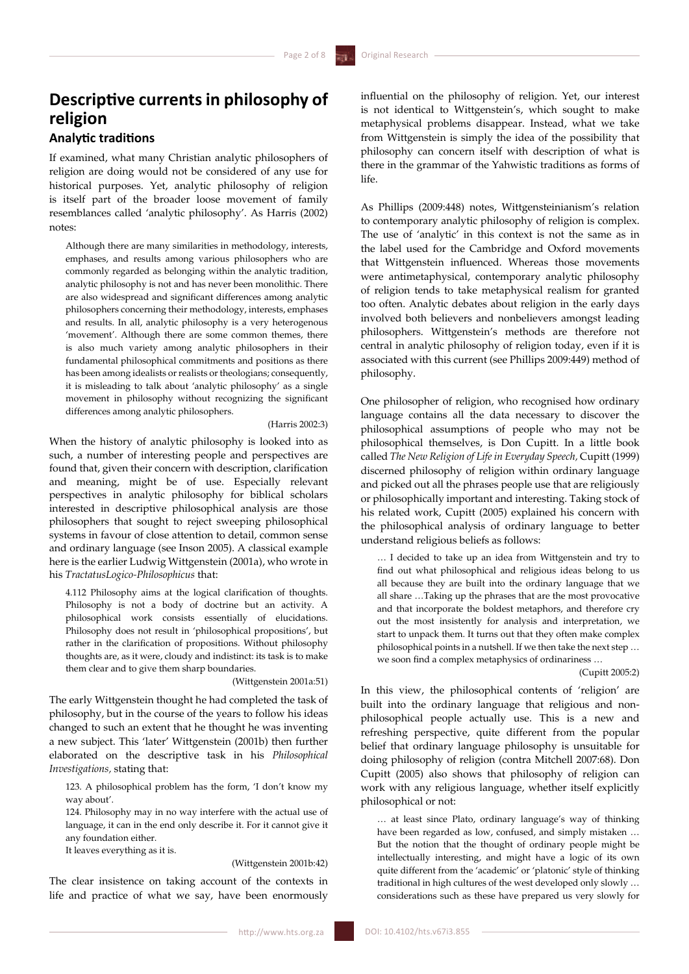## **Descriptive currents in philosophy of religion**

## **Analytic traditions**

If examined, what many Christian analytic philosophers of religion are doing would not be considered of any use for historical purposes. Yet, analytic philosophy of religion is itself part of the broader loose movement of family resemblances called 'analytic philosophy'. As Harris (2002) notes:

Although there are many similarities in methodology, interests, emphases, and results among various philosophers who are commonly regarded as belonging within the analytic tradition, analytic philosophy is not and has never been monolithic. There are also widespread and significant differences among analytic philosophers concerning their methodology, interests, emphases and results. In all, analytic philosophy is a very heterogenous 'movement'. Although there are some common themes, there is also much variety among analytic philosophers in their fundamental philosophical commitments and positions as there has been among idealists or realists or theologians; consequently, it is misleading to talk about 'analytic philosophy' as a single movement in philosophy without recognizing the significant differences among analytic philosophers.

### (Harris 2002:3)

When the history of analytic philosophy is looked into as such, a number of interesting people and perspectives are found that, given their concern with description, clarification and meaning, might be of use. Especially relevant perspectives in analytic philosophy for biblical scholars interested in descriptive philosophical analysis are those philosophers that sought to reject sweeping philosophical systems in favour of close attention to detail, common sense and ordinary language (see Inson 2005). A classical example here is the earlier Ludwig Wittgenstein (2001a), who wrote in his *TractatusLogico-Philosophicus* that:

4.112 Philosophy aims at the logical clarification of thoughts. Philosophy is not a body of doctrine but an activity. A philosophical work consists essentially of elucidations. Philosophy does not result in 'philosophical propositions', but rather in the clarification of propositions. Without philosophy thoughts are, as it were, cloudy and indistinct: its task is to make them clear and to give them sharp boundaries.

(Wittgenstein 2001a:51)

The early Wittgenstein thought he had completed the task of philosophy, but in the course of the years to follow his ideas changed to such an extent that he thought he was inventing a new subject. This 'later' Wittgenstein (2001b) then further elaborated on the descriptive task in his *Philosophical Investigations,* stating that:

123. A philosophical problem has the form, 'I don't know my way about'.

124. Philosophy may in no way interfere with the actual use of language, it can in the end only describe it. For it cannot give it any foundation either.

It leaves everything as it is.

## (Wittgenstein 2001b:42)

The clear insistence on taking account of the contexts in life and practice of what we say, have been enormously

influential on the philosophy of religion. Yet, our interest is not identical to Wittgenstein's, which sought to make metaphysical problems disappear. Instead, what we take from Wittgenstein is simply the idea of the possibility that philosophy can concern itself with description of what is there in the grammar of the Yahwistic traditions as forms of life.

As Phillips (2009:448) notes, Wittgensteinianism's relation to contemporary analytic philosophy of religion is complex. The use of 'analytic' in this context is not the same as in the label used for the Cambridge and Oxford movements that Wittgenstein influenced. Whereas those movements were antimetaphysical, contemporary analytic philosophy of religion tends to take metaphysical realism for granted too often. Analytic debates about religion in the early days involved both believers and nonbelievers amongst leading philosophers. Wittgenstein's methods are therefore not central in analytic philosophy of religion today, even if it is associated with this current (see Phillips 2009:449) method of philosophy.

One philosopher of religion, who recognised how ordinary language contains all the data necessary to discover the philosophical assumptions of people who may not be philosophical themselves, is Don Cupitt. In a little book called *The New Religion of Life in Everyday Speech,* Cupitt (1999) discerned philosophy of religion within ordinary language and picked out all the phrases people use that are religiously or philosophically important and interesting. Taking stock of his related work, Cupitt (2005) explained his concern with the philosophical analysis of ordinary language to better understand religious beliefs as follows:

… I decided to take up an idea from Wittgenstein and try to find out what philosophical and religious ideas belong to us all because they are built into the ordinary language that we all share …Taking up the phrases that are the most provocative and that incorporate the boldest metaphors, and therefore cry out the most insistently for analysis and interpretation, we start to unpack them. It turns out that they often make complex philosophical points in a nutshell. If we then take the next step … we soon find a complex metaphysics of ordinariness …

### (Cupitt 2005:2)

In this view, the philosophical contents of 'religion' are built into the ordinary language that religious and nonphilosophical people actually use. This is a new and refreshing perspective, quite different from the popular belief that ordinary language philosophy is unsuitable for doing philosophy of religion (contra Mitchell 2007:68). Don Cupitt (2005) also shows that philosophy of religion can work with any religious language, whether itself explicitly philosophical or not:

… at least since Plato, ordinary language's way of thinking have been regarded as low, confused, and simply mistaken … But the notion that the thought of ordinary people might be intellectually interesting, and might have a logic of its own quite different from the 'academic' or 'platonic' style of thinking traditional in high cultures of the west developed only slowly … considerations such as these have prepared us very slowly for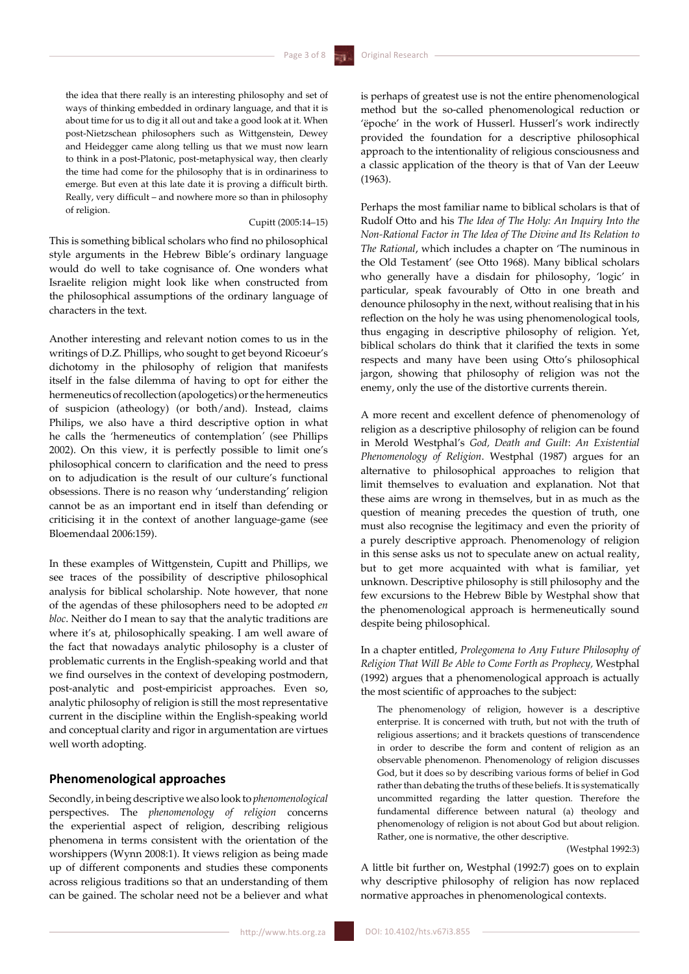the idea that there really is an interesting philosophy and set of ways of thinking embedded in ordinary language, and that it is about time for us to dig it all out and take a good look at it. When post-Nietzschean philosophers such as Wittgenstein, Dewey and Heidegger came along telling us that we must now learn to think in a post-Platonic, post-metaphysical way, then clearly the time had come for the philosophy that is in ordinariness to emerge. But even at this late date it is proving a difficult birth. Really, very difficult – and nowhere more so than in philosophy of religion.

## Cupitt (2005:14–15)

This is something biblical scholars who find no philosophical style arguments in the Hebrew Bible's ordinary language would do well to take cognisance of. One wonders what Israelite religion might look like when constructed from the philosophical assumptions of the ordinary language of characters in the text.

Another interesting and relevant notion comes to us in the writings of D.Z. Phillips, who sought to get beyond Ricoeur's dichotomy in the philosophy of religion that manifests itself in the false dilemma of having to opt for either the hermeneutics of recollection (apologetics) or the hermeneutics of suspicion (atheology) (or both/and). Instead, claims Philips, we also have a third descriptive option in what he calls the 'hermeneutics of contemplation*'* (see Phillips 2002). On this view, it is perfectly possible to limit one's philosophical concern to clarification and the need to press on to adjudication is the result of our culture's functional obsessions. There is no reason why 'understanding' religion cannot be as an important end in itself than defending or criticising it in the context of another language-game (see Bloemendaal 2006:159).

In these examples of Wittgenstein, Cupitt and Phillips, we see traces of the possibility of descriptive philosophical analysis for biblical scholarship. Note however, that none of the agendas of these philosophers need to be adopted *en bloc*. Neither do I mean to say that the analytic traditions are where it's at, philosophically speaking. I am well aware of the fact that nowadays analytic philosophy is a cluster of problematic currents in the English-speaking world and that we find ourselves in the context of developing postmodern, post-analytic and post-empiricist approaches. Even so, analytic philosophy of religion is still the most representative current in the discipline within the English-speaking world and conceptual clarity and rigor in argumentation are virtues well worth adopting.

## **Phenomenological approaches**

Secondly, in beingdescriptive we also look to *phenomenological*  perspectives. The *phenomenology of religion* concerns the experiential aspect of religion, describing religious phenomena in terms consistent with the orientation of the worshippers (Wynn 2008:1). It views religion as being made up of different components and studies these components across religious traditions so that an understanding of them can be gained. The scholar need not be a believer and what is perhaps of greatest use is not the entire phenomenological method but the so-called phenomenological reduction or 'ëpoche' in the work of Husserl. Husserl's work indirectly provided the foundation for a descriptive philosophical approach to the intentionality of religious consciousness and a classic application of the theory is that of Van der Leeuw (1963).

Perhaps the most familiar name to biblical scholars is that of Rudolf Otto and his *The Idea of The Holy: An Inquiry Into the Non-Rational Factor in The Idea of The Divine and Its Relation to The Rational*, which includes a chapter on 'The numinous in the Old Testament' (see Otto 1968). Many biblical scholars who generally have a disdain for philosophy, 'logic' in particular, speak favourably of Otto in one breath and denounce philosophy in the next, without realising that in his reflection on the holy he was using phenomenological tools, thus engaging in descriptive philosophy of religion. Yet, biblical scholars do think that it clarified the texts in some respects and many have been using Otto's philosophical jargon, showing that philosophy of religion was not the enemy, only the use of the distortive currents therein.

A more recent and excellent defence of phenomenology of religion as a descriptive philosophy of religion can be found in Merold Westphal's *God, Death and Guilt*: *An Existential Phenomenology of Religion*. Westphal (1987) argues for an alternative to philosophical approaches to religion that limit themselves to evaluation and explanation. Not that these aims are wrong in themselves, but in as much as the question of meaning precedes the question of truth, one must also recognise the legitimacy and even the priority of a purely descriptive approach. Phenomenology of religion in this sense asks us not to speculate anew on actual reality, but to get more acquainted with what is familiar, yet unknown. Descriptive philosophy is still philosophy and the few excursions to the Hebrew Bible by Westphal show that the phenomenological approach is hermeneutically sound despite being philosophical.

In a chapter entitled, *Prolegomena to Any Future Philosophy of Religion That Will Be Able to Come Forth as Prophecy,* Westphal (1992) argues that a phenomenological approach is actually the most scientific of approaches to the subject:

The phenomenology of religion, however is a descriptive enterprise. It is concerned with truth, but not with the truth of religious assertions; and it brackets questions of transcendence in order to describe the form and content of religion as an observable phenomenon. Phenomenology of religion discusses God, but it does so by describing various forms of belief in God rather than debating the truths of these beliefs. It is systematically uncommitted regarding the latter question. Therefore the fundamental difference between natural (a) theology and phenomenology of religion is not about God but about religion. Rather, one is normative, the other descriptive.

(Westphal 1992:3)

A little bit further on, Westphal (1992:7) goes on to explain why descriptive philosophy of religion has now replaced normative approaches in phenomenological contexts.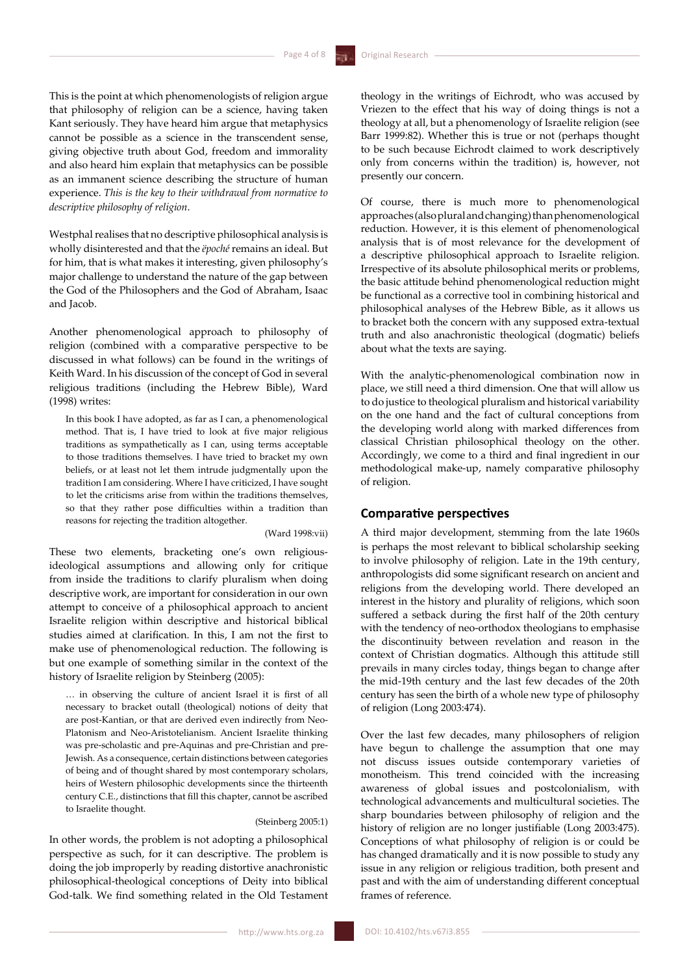This is the point at which phenomenologists of religion argue that philosophy of religion can be a science, having taken Kant seriously. They have heard him argue that metaphysics cannot be possible as a science in the transcendent sense, giving objective truth about God, freedom and immorality and also heard him explain that metaphysics can be possible as an immanent science describing the structure of human experience. *This is the key to their withdrawal from normative to descriptive philosophy of religion*.

Westphal realises that no descriptive philosophical analysis is wholly disinterested and that the *ëpoché* remains an ideal. But for him, that is what makes it interesting, given philosophy's major challenge to understand the nature of the gap between the God of the Philosophers and the God of Abraham, Isaac and Jacob.

Another phenomenological approach to philosophy of religion (combined with a comparative perspective to be discussed in what follows) can be found in the writings of Keith Ward. In his discussion of the concept of God in several religious traditions (including the Hebrew Bible), Ward (1998) writes:

In this book I have adopted, as far as I can, a phenomenological method. That is, I have tried to look at five major religious traditions as sympathetically as I can, using terms acceptable to those traditions themselves. I have tried to bracket my own beliefs, or at least not let them intrude judgmentally upon the tradition I am considering. Where I have criticized, I have sought to let the criticisms arise from within the traditions themselves, so that they rather pose difficulties within a tradition than reasons for rejecting the tradition altogether.

### (Ward 1998:vii)

These two elements, bracketing one's own religiousideological assumptions and allowing only for critique from inside the traditions to clarify pluralism when doing descriptive work, are important for consideration in our own attempt to conceive of a philosophical approach to ancient Israelite religion within descriptive and historical biblical studies aimed at clarification. In this, I am not the first to make use of phenomenological reduction. The following is but one example of something similar in the context of the history of Israelite religion by Steinberg (2005):

… in observing the culture of ancient Israel it is first of all necessary to bracket outall (theological) notions of deity that are post-Kantian, or that are derived even indirectly from Neo-Platonism and Neo-Aristotelianism. Ancient Israelite thinking was pre-scholastic and pre-Aquinas and pre-Christian and pre-Jewish. As a consequence, certain distinctions between categories of being and of thought shared by most contemporary scholars, heirs of Western philosophic developments since the thirteenth century C.E., distinctions that fill this chapter, cannot be ascribed to Israelite thought.

## (Steinberg 2005:1)

In other words, the problem is not adopting a philosophical perspective as such, for it can descriptive. The problem is doing the job improperly by reading distortive anachronistic philosophical-theological conceptions of Deity into biblical God-talk. We find something related in the Old Testament theology in the writings of Eichrodt, who was accused by Vriezen to the effect that his way of doing things is not a theology at all, but a phenomenology of Israelite religion (see Barr 1999:82). Whether this is true or not (perhaps thought to be such because Eichrodt claimed to work descriptively only from concerns within the tradition) is, however, not presently our concern.

Of course, there is much more to phenomenological approaches (also plural and changing) than phenomenological reduction. However, it is this element of phenomenological analysis that is of most relevance for the development of a descriptive philosophical approach to Israelite religion. Irrespective of its absolute philosophical merits or problems, the basic attitude behind phenomenological reduction might be functional as a corrective tool in combining historical and philosophical analyses of the Hebrew Bible, as it allows us to bracket both the concern with any supposed extra-textual truth and also anachronistic theological (dogmatic) beliefs about what the texts are saying.

With the analytic-phenomenological combination now in place, we still need a third dimension. One that will allow us to do justice to theological pluralism and historical variability on the one hand and the fact of cultural conceptions from the developing world along with marked differences from classical Christian philosophical theology on the other. Accordingly, we come to a third and final ingredient in our methodological make-up, namely comparative philosophy of religion.

## **Comparative perspectives**

A third major development, stemming from the late 1960s is perhaps the most relevant to biblical scholarship seeking to involve philosophy of religion. Late in the 19th century, anthropologists did some significant research on ancient and religions from the developing world. There developed an interest in the history and plurality of religions, which soon suffered a setback during the first half of the 20th century with the tendency of neo-orthodox theologians to emphasise the discontinuity between revelation and reason in the context of Christian dogmatics. Although this attitude still prevails in many circles today, things began to change after the mid-19th century and the last few decades of the 20th century has seen the birth of a whole new type of philosophy of religion (Long 2003:474).

Over the last few decades, many philosophers of religion have begun to challenge the assumption that one may not discuss issues outside contemporary varieties of monotheism. This trend coincided with the increasing awareness of global issues and postcolonialism, with technological advancements and multicultural societies. The sharp boundaries between philosophy of religion and the history of religion are no longer justifiable (Long 2003:475). Conceptions of what philosophy of religion is or could be has changed dramatically and it is now possible to study any issue in any religion or religious tradition, both present and past and with the aim of understanding different conceptual frames of reference.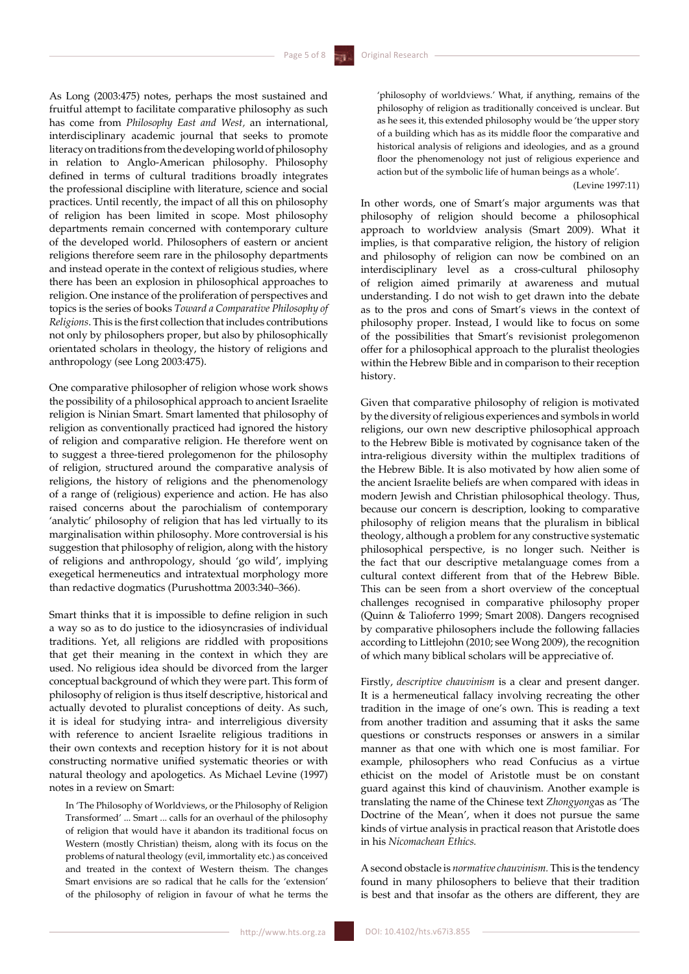As Long (2003:475) notes, perhaps the most sustained and fruitful attempt to facilitate comparative philosophy as such has come from *Philosophy East and West,* an international, interdisciplinary academic journal that seeks to promote literacy on traditions from the developing world of philosophy in relation to Anglo-American philosophy. Philosophy defined in terms of cultural traditions broadly integrates the professional discipline with literature, science and social practices. Until recently, the impact of all this on philosophy of religion has been limited in scope. Most philosophy departments remain concerned with contemporary culture of the developed world. Philosophers of eastern or ancient religions therefore seem rare in the philosophy departments and instead operate in the context of religious studies, where there has been an explosion in philosophical approaches to religion. One instance of the proliferation of perspectives and topics is the series of books *Toward a Comparative Philosophy of Religions*. This is the first collection that includes contributions not only by philosophers proper, but also by philosophically orientated scholars in theology, the history of religions and anthropology (see Long 2003:475).

One comparative philosopher of religion whose work shows the possibility of a philosophical approach to ancient Israelite religion is Ninian Smart. Smart lamented that philosophy of religion as conventionally practiced had ignored the history of religion and comparative religion. He therefore went on to suggest a three-tiered prolegomenon for the philosophy of religion, structured around the comparative analysis of religions, the history of religions and the phenomenology of a range of (religious) experience and action. He has also raised concerns about the parochialism of contemporary 'analytic' philosophy of religion that has led virtually to its marginalisation within philosophy. More controversial is his suggestion that philosophy of religion, along with the history of religions and anthropology, should 'go wild', implying exegetical hermeneutics and intratextual morphology more than redactive dogmatics (Purushottma 2003:340–366).

Smart thinks that it is impossible to define religion in such a way so as to do justice to the idiosyncrasies of individual traditions. Yet, all religions are riddled with propositions that get their meaning in the context in which they are used. No religious idea should be divorced from the larger conceptual background of which they were part. This form of philosophy of religion is thus itself descriptive, historical and actually devoted to pluralist conceptions of deity. As such, it is ideal for studying intra- and interreligious diversity with reference to ancient Israelite religious traditions in their own contexts and reception history for it is not about constructing normative unified systematic theories or with natural theology and apologetics. As Michael Levine (1997) notes in a review on Smart:

In 'The Philosophy of Worldviews, or the Philosophy of Religion Transformed' ... Smart ... calls for an overhaul of the philosophy of religion that would have it abandon its traditional focus on Western (mostly Christian) theism, along with its focus on the problems of natural theology (evil, immortality etc.) as conceived and treated in the context of Western theism. The changes Smart envisions are so radical that he calls for the 'extension' of the philosophy of religion in favour of what he terms the

'philosophy of worldviews.' What, if anything, remains of the philosophy of religion as traditionally conceived is unclear. But as he sees it, this extended philosophy would be 'the upper story of a building which has as its middle floor the comparative and historical analysis of religions and ideologies, and as a ground floor the phenomenology not just of religious experience and action but of the symbolic life of human beings as a whole'.

### (Levine 1997:11)

In other words, one of Smart's major arguments was that philosophy of religion should become a philosophical approach to worldview analysis (Smart 2009). What it implies, is that comparative religion, the history of religion and philosophy of religion can now be combined on an interdisciplinary level as a cross-cultural philosophy of religion aimed primarily at awareness and mutual understanding. I do not wish to get drawn into the debate as to the pros and cons of Smart's views in the context of philosophy proper. Instead, I would like to focus on some of the possibilities that Smart's revisionist prolegomenon offer for a philosophical approach to the pluralist theologies within the Hebrew Bible and in comparison to their reception history.

Given that comparative philosophy of religion is motivated by the diversity ofreligious experiences and symbols in world religions, our own new descriptive philosophical approach to the Hebrew Bible is motivated by cognisance taken of the intra-religious diversity within the multiplex traditions of the Hebrew Bible. It is also motivated by how alien some of the ancient Israelite beliefs are when compared with ideas in modern Jewish and Christian philosophical theology. Thus, because our concern is description, looking to comparative philosophy of religion means that the pluralism in biblical theology, although a problem for any constructive systematic philosophical perspective, is no longer such. Neither is the fact that our descriptive metalanguage comes from a cultural context different from that of the Hebrew Bible. This can be seen from a short overview of the conceptual challenges recognised in comparative philosophy proper (Quinn & Talioferro 1999; Smart 2008). Dangers recognised by comparative philosophers include the following fallacies according to Littlejohn (2010; see Wong 2009), the recognition of which many biblical scholars will be appreciative of.

Firstly, *descriptive chauvinism* is a clear and present danger. It is a hermeneutical fallacy involving recreating the other tradition in the image of one's own. This is reading a text from another tradition and assuming that it asks the same questions or constructs responses or answers in a similar manner as that one with which one is most familiar. For example, philosophers who read Confucius as a virtue ethicist on the model of [Aristotle](http://www.iep.utm.edu/aristotl) must be on constant guard against this kind of chauvinism. Another example is translating the name of the Chinese text *Zhongyong*as as 'The Doctrine of the Mean', when it does not pursue the same kinds of virtue analysis in practical reason that Aristotle does in his *Nicomachean Ethics.* 

A second obstacle is *normative chauvinism.* This is the tendency found in many philosophers to believe that their tradition is best and that insofar as the others are different, they are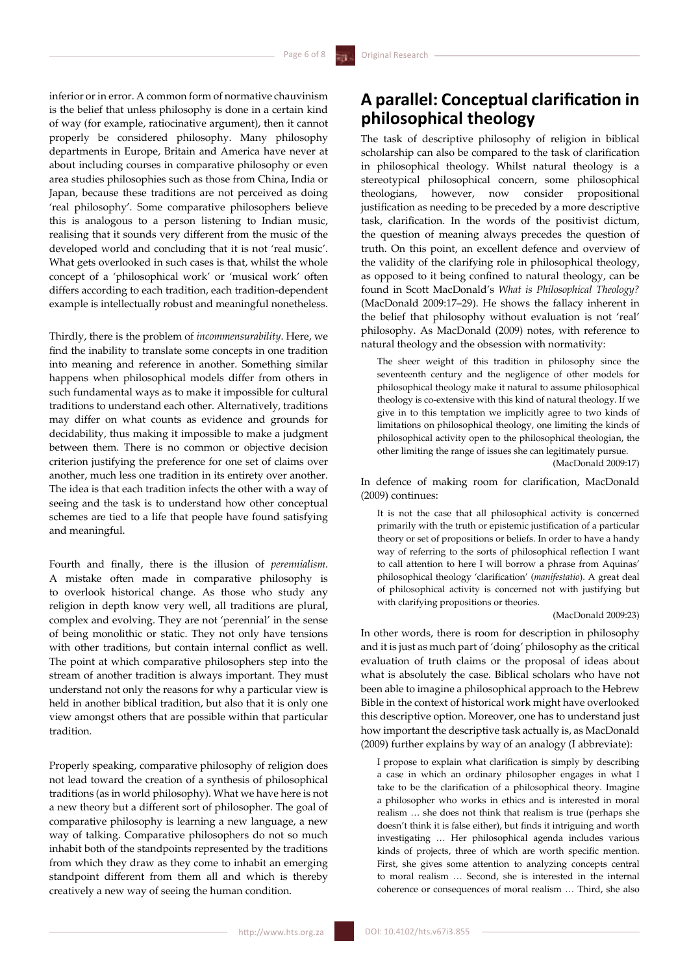inferior or in error. A common form of normative chauvinism is the belief that unless philosophy is done in a certain kind of way (for example, ratiocinative argument), then it cannot properly be considered philosophy. Many philosophy departments in Europe, Britain and America have never at about including courses in comparative philosophy or even area studies philosophies such as those from China, India or Japan, because these traditions are not perceived as doing 'real philosophy'. Some comparative philosophers believe this is analogous to a person listening to Indian music, realising that it sounds very different from the music of the developed world and concluding that it is not 'real music'. What gets overlooked in such cases is that, whilst the whole concept of a 'philosophical work' or 'musical work' often differs according to each tradition, each tradition-dependent example is intellectually robust and meaningful nonetheless.

Thirdly, there is the problem of *incommensurability*. Here, we find the inability to translate some concepts in one tradition into meaning and reference in another. Something similar happens when philosophical models differ from others in such fundamental ways as to make it impossible for cultural traditions to understand each other. Alternatively, traditions may differ on what counts as evidence and grounds for decidability, thus making it impossible to make a judgment between them. There is no common or objective decision criterion justifying the preference for one set of claims over another, much less one tradition in its entirety over another. The idea is that each tradition infects the other with a way of seeing and the task is to understand how other conceptual schemes are tied to a life that people have found satisfying and meaningful.

Fourth and finally, there is the illusion of *perennialism*. A mistake often made in comparative philosophy is to overlook historical change. As those who study any religion in depth know very well, all traditions are plural, complex and evolving. They are not 'perennial' in the sense of being monolithic or static. They not only have tensions with other traditions, but contain internal conflict as well. The point at which comparative philosophers step into the stream of another tradition is always important. They must understand not only the reasons for why a particular view is held in another biblical tradition, but also that it is only one view amongst others that are possible within that particular tradition*.* 

Properly speaking, comparative philosophy of religion does not lead toward the creation of a synthesis of philosophical traditions (as in world philosophy). What we have here is not a new theory but a different sort of philosopher. The goal of comparative philosophy is learning a new language, a new way of talking. Comparative philosophers do not so much inhabit both of the standpoints represented by the traditions from which they draw as they come to inhabit an emerging standpoint different from them all and which is thereby creatively a new way of seeing the human condition.

## **A parallel: Conceptual clarification in philosophical theology**

The task of descriptive philosophy of religion in biblical scholarship can also be compared to the task of clarification in philosophical theology. Whilst natural theology is a stereotypical philosophical concern, some philosophical theologians, however, now consider propositional justification as needing to be preceded by a more descriptive task, clarification. In the words of the positivist dictum, the question of meaning always precedes the question of truth. On this point, an excellent defence and overview of the validity of the clarifying role in philosophical theology, as opposed to it being confined to natural theology, can be found in Scott MacDonald's *What is Philosophical Theology?* (MacDonald 2009:17–29). He shows the fallacy inherent in the belief that philosophy without evaluation is not 'real' philosophy. As MacDonald (2009) notes, with reference to natural theology and the obsession with normativity:

The sheer weight of this tradition in philosophy since the seventeenth century and the negligence of other models for philosophical theology make it natural to assume philosophical theology is co-extensive with this kind of natural theology. If we give in to this temptation we implicitly agree to two kinds of limitations on philosophical theology, one limiting the kinds of philosophical activity open to the philosophical theologian, the other limiting the range of issues she can legitimately pursue.

(MacDonald 2009:17)

In defence of making room for clarification, MacDonald (2009) continues:

It is not the case that all philosophical activity is concerned primarily with the truth or epistemic justification of a particular theory or set of propositions or beliefs. In order to have a handy way of referring to the sorts of philosophical reflection I want to call attention to here I will borrow a phrase from Aquinas' philosophical theology 'clarification' (*manifestatio*). A great deal of philosophical activity is concerned not with justifying but with clarifying propositions or theories.

### (MacDonald 2009:23)

In other words, there is room for description in philosophy and it is just as much part of 'doing' philosophy as the critical evaluation of truth claims or the proposal of ideas about what is absolutely the case. Biblical scholars who have not been able to imagine a philosophical approach to the Hebrew Bible in the context of historical work might have overlooked this descriptive option. Moreover, one has to understand just how important the descriptive task actually is, as MacDonald (2009) further explains by way of an analogy (I abbreviate):

I propose to explain what clarification is simply by describing a case in which an ordinary philosopher engages in what I take to be the clarification of a philosophical theory. Imagine a philosopher who works in ethics and is interested in moral realism … she does not think that realism is true (perhaps she doesn't think it is false either), but finds it intriguing and worth investigating … Her philosophical agenda includes various kinds of projects, three of which are worth specific mention. First, she gives some attention to analyzing concepts central to moral realism … Second, she is interested in the internal coherence or consequences of moral realism … Third, she also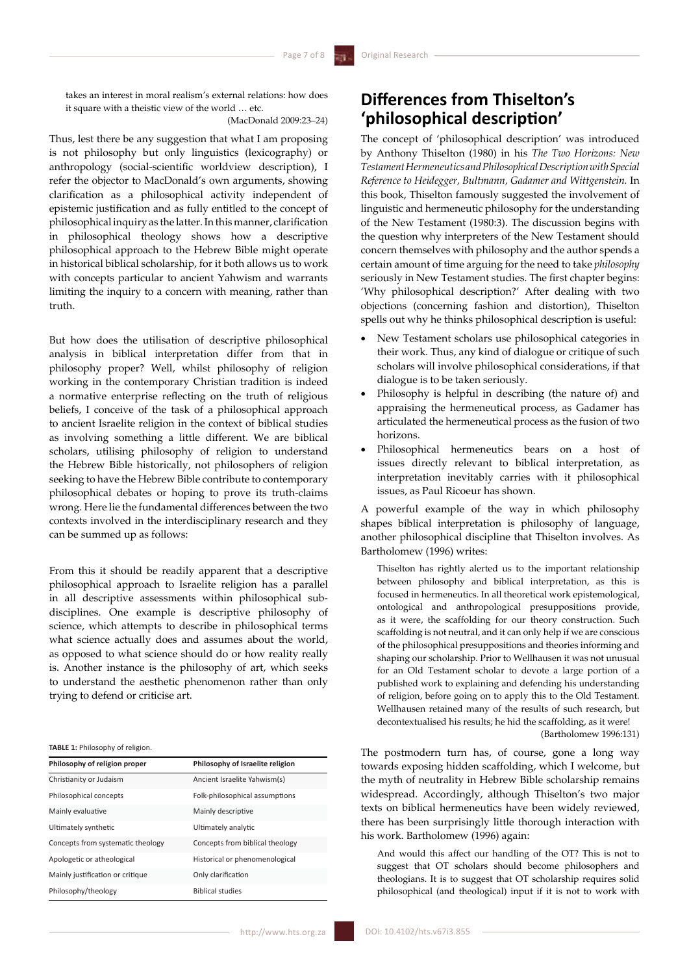takes an interest in moral realism's external relations: how does it square with a theistic view of the world … etc.

## (MacDonald 2009:23–24)

Thus, lest there be any suggestion that what I am proposing is not philosophy but only linguistics (lexicography) or anthropology (social-scientific worldview description), I refer the objector to MacDonald's own arguments, showing clarification as a philosophical activity independent of epistemic justification and as fully entitled to the concept of philosophical inquiry as the latter.In this manner, clarification in philosophical theology shows how a descriptive philosophical approach to the Hebrew Bible might operate in historical biblical scholarship, for it both allows us to work with concepts particular to ancient Yahwism and warrants limiting the inquiry to a concern with meaning, rather than truth.

But how does the utilisation of descriptive philosophical analysis in biblical interpretation differ from that in philosophy proper? Well, whilst philosophy of religion working in the contemporary Christian tradition is indeed a normative enterprise reflecting on the truth of religious beliefs, I conceive of the task of a philosophical approach to ancient Israelite religion in the context of biblical studies as involving something a little different. We are biblical scholars, utilising philosophy of religion to understand the Hebrew Bible historically, not philosophers of religion seeking to have the Hebrew Bible contribute to contemporary philosophical debates or hoping to prove its truth-claims wrong. Here lie the fundamental differences between the two contexts involved in the interdisciplinary research and they can be summed up as follows:

From this it should be readily apparent that a descriptive philosophical approach to Israelite religion has a parallel in all descriptive assessments within philosophical subdisciplines. One example is descriptive philosophy of science, which attempts to describe in philosophical terms what science actually does and assumes about the world, as opposed to what science should do or how reality really is. Another instance is the philosophy of art, which seeks to understand the aesthetic phenomenon rather than only trying to defend or criticise art.

#### **TABLE 1:** Philosophy of religion.

| Philosophy of religion proper     | Philosophy of Israelite religion |
|-----------------------------------|----------------------------------|
| Christianity or Judaism           | Ancient Israelite Yahwism(s)     |
| Philosophical concepts            | Folk-philosophical assumptions   |
| Mainly evaluative                 | Mainly descriptive               |
| Ultimately synthetic              | Ultimately analytic              |
| Concepts from systematic theology | Concepts from biblical theology  |
| Apologetic or atheological        | Historical or phenomenological   |
| Mainly justification or critique  | Only clarification               |
| Philosophy/theology               | <b>Biblical studies</b>          |

## **Differences from Thiselton's 'philosophical description'**

The concept of 'philosophical description' was introduced by Anthony Thiselton (1980) in his *The Two Horizons: New Testament Hermeneutics and Philosophical Description with Special Reference to Heidegger, Bultmann, Gadamer and Wittgenstein.* In this book, Thiselton famously suggested the involvement of linguistic and hermeneutic philosophy for the understanding of the New Testament (1980:3). The discussion begins with the question why interpreters of the New Testament should concern themselves with philosophy and the author spends a certain amount of time arguing for the need to take *philosophy*  seriously in New Testament studies. The first chapter begins: 'Why philosophical description?' After dealing with two objections (concerning fashion and distortion), Thiselton spells out why he thinks philosophical description is useful:

- New Testament scholars use philosophical categories in their work. Thus, any kind of dialogue or critique of such scholars will involve philosophical considerations, if that dialogue is to be taken seriously.
- Philosophy is helpful in describing (the nature of) and appraising the hermeneutical process, as Gadamer has articulated the hermeneutical process as the fusion of two horizons.
- Philosophical hermeneutics bears on a host of issues directly relevant to biblical interpretation, as interpretation inevitably carries with it philosophical issues, as Paul Ricoeur has shown.

A powerful example of the way in which philosophy shapes biblical interpretation is philosophy of language, another philosophical discipline that Thiselton involves. As Bartholomew (1996) writes:

Thiselton has rightly alerted us to the important relationship between philosophy and biblical interpretation, as this is focused in hermeneutics. In all theoretical work epistemological, ontological and anthropological presuppositions provide, as it were, the scaffolding for our theory construction. Such scaffolding is not neutral, and it can only help if we are conscious of the philosophical presuppositions and theories informing and shaping our scholarship. Prior to Wellhausen it was not unusual for an Old Testament scholar to devote a large portion of a published work to explaining and defending his understanding of religion, before going on to apply this to the Old Testament. Wellhausen retained many of the results of such research, but decontextualised his results; he hid the scaffolding, as it were! (Bartholomew 1996:131)

The postmodern turn has, of course, gone a long way towards exposing hidden scaffolding, which I welcome, but the myth of neutrality in Hebrew Bible scholarship remains widespread. Accordingly, although Thiselton's two major texts on biblical hermeneutics have been widely reviewed, there has been surprisingly little thorough interaction with his work. Bartholomew (1996) again:

And would this affect our handling of the OT? This is not to suggest that OT scholars should become philosophers and theologians. It is to suggest that OT scholarship requires solid philosophical (and theological) input if it is not to work with